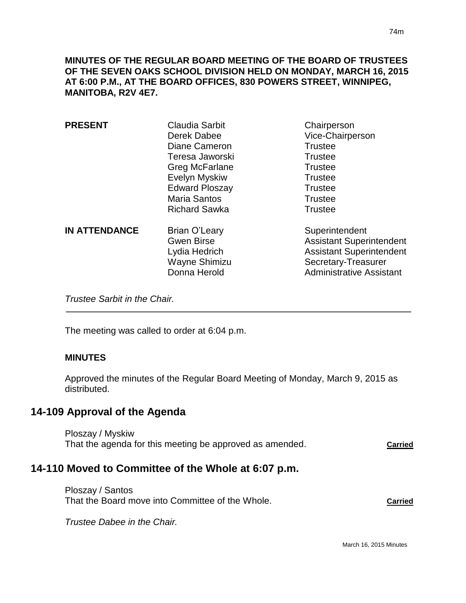**MINUTES OF THE REGULAR BOARD MEETING OF THE BOARD OF TRUSTEES OF THE SEVEN OAKS SCHOOL DIVISION HELD ON MONDAY, MARCH 16, 2015 AT 6:00 P.M., AT THE BOARD OFFICES, 830 POWERS STREET, WINNIPEG, MANITOBA, R2V 4E7.**

| <b>PRESENT</b>       | Claudia Sarbit<br>Derek Dabee                                                        | Chairperson<br>Vice-Chairperson                                                                                                                |
|----------------------|--------------------------------------------------------------------------------------|------------------------------------------------------------------------------------------------------------------------------------------------|
|                      | Diane Cameron                                                                        | <b>Trustee</b>                                                                                                                                 |
|                      | Teresa Jaworski                                                                      | <b>Trustee</b>                                                                                                                                 |
|                      | <b>Greg McFarlane</b>                                                                | <b>Trustee</b>                                                                                                                                 |
|                      | Evelyn Myskiw                                                                        | <b>Trustee</b>                                                                                                                                 |
|                      | <b>Edward Ploszay</b>                                                                | <b>Trustee</b>                                                                                                                                 |
|                      | <b>Maria Santos</b>                                                                  | <b>Trustee</b>                                                                                                                                 |
|                      | <b>Richard Sawka</b>                                                                 | <b>Trustee</b>                                                                                                                                 |
| <b>IN ATTENDANCE</b> | Brian O'Leary<br><b>Gwen Birse</b><br>Lydia Hedrich<br>Wayne Shimizu<br>Donna Herold | Superintendent<br><b>Assistant Superintendent</b><br><b>Assistant Superintendent</b><br>Secretary-Treasurer<br><b>Administrative Assistant</b> |

*Trustee Sarbit in the Chair.* 

The meeting was called to order at 6:04 p.m.

## **MINUTES**

Approved the minutes of the Regular Board Meeting of Monday, March 9, 2015 as distributed.

## **14-109 Approval of the Agenda**

Ploszay / Myskiw That the agenda for this meeting be approved as amended. **Carried**

## **14-110 Moved to Committee of the Whole at 6:07 p.m.**

Ploszay / Santos That the Board move into Committee of the Whole. **Carried**

*Trustee Dabee in the Chair.*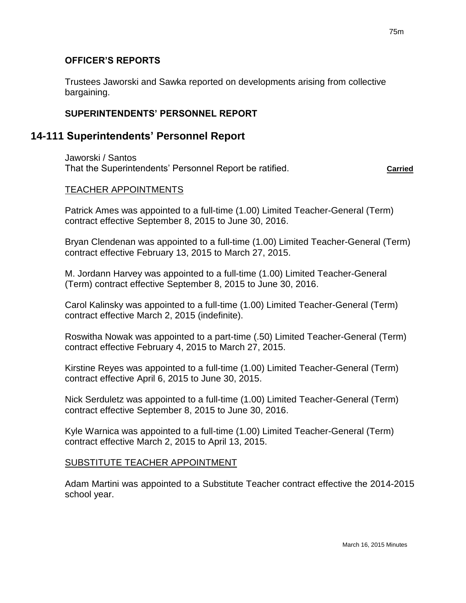## **OFFICER'S REPORTS**

Trustees Jaworski and Sawka reported on developments arising from collective bargaining.

## **SUPERINTENDENTS' PERSONNEL REPORT**

## **14-111 Superintendents' Personnel Report**

Jaworski / Santos That the Superintendents' Personnel Report be ratified. **Carried**

## TEACHER APPOINTMENTS

Patrick Ames was appointed to a full-time (1.00) Limited Teacher-General (Term) contract effective September 8, 2015 to June 30, 2016.

Bryan Clendenan was appointed to a full-time (1.00) Limited Teacher-General (Term) contract effective February 13, 2015 to March 27, 2015.

M. Jordann Harvey was appointed to a full-time (1.00) Limited Teacher-General (Term) contract effective September 8, 2015 to June 30, 2016.

Carol Kalinsky was appointed to a full-time (1.00) Limited Teacher-General (Term) contract effective March 2, 2015 (indefinite).

Roswitha Nowak was appointed to a part-time (.50) Limited Teacher-General (Term) contract effective February 4, 2015 to March 27, 2015.

Kirstine Reyes was appointed to a full-time (1.00) Limited Teacher-General (Term) contract effective April 6, 2015 to June 30, 2015.

Nick Serduletz was appointed to a full-time (1.00) Limited Teacher-General (Term) contract effective September 8, 2015 to June 30, 2016.

Kyle Warnica was appointed to a full-time (1.00) Limited Teacher-General (Term) contract effective March 2, 2015 to April 13, 2015.

### SUBSTITUTE TEACHER APPOINTMENT

Adam Martini was appointed to a Substitute Teacher contract effective the 2014-2015 school year.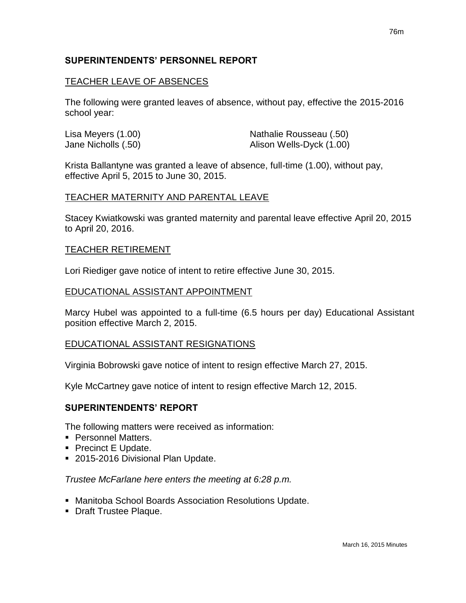## **SUPERINTENDENTS' PERSONNEL REPORT**

## TEACHER LEAVE OF ABSENCES

The following were granted leaves of absence, without pay, effective the 2015-2016 school year:

| Lisa Meyers (1.00)  | Nathalie Rousseau (.50)  |
|---------------------|--------------------------|
| Jane Nicholls (.50) | Alison Wells-Dyck (1.00) |

Krista Ballantyne was granted a leave of absence, full-time (1.00), without pay, effective April 5, 2015 to June 30, 2015.

## TEACHER MATERNITY AND PARENTAL LEAVE

Stacey Kwiatkowski was granted maternity and parental leave effective April 20, 2015 to April 20, 2016.

### TEACHER RETIREMENT

Lori Riediger gave notice of intent to retire effective June 30, 2015.

## EDUCATIONAL ASSISTANT APPOINTMENT

Marcy Hubel was appointed to a full-time (6.5 hours per day) Educational Assistant position effective March 2, 2015.

## EDUCATIONAL ASSISTANT RESIGNATIONS

Virginia Bobrowski gave notice of intent to resign effective March 27, 2015.

Kyle McCartney gave notice of intent to resign effective March 12, 2015.

## **SUPERINTENDENTS' REPORT**

The following matters were received as information:

- **Personnel Matters.**
- Precinct E Update.
- 2015-2016 Divisional Plan Update.

### *Trustee McFarlane here enters the meeting at 6:28 p.m.*

- Manitoba School Boards Association Resolutions Update.
- **Draft Trustee Plaque.**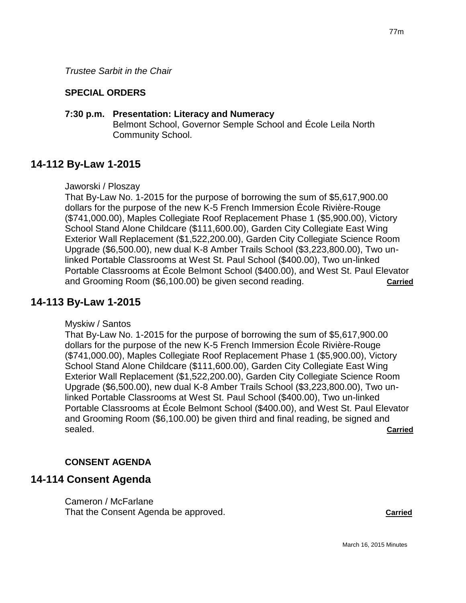*Trustee Sarbit in the Chair*

## **SPECIAL ORDERS**

## **7:30 p.m. Presentation: Literacy and Numeracy**

Belmont School, Governor Semple School and École Leila North Community School.

## **14-112 By-Law 1-2015**

### Jaworski / Ploszay

That By-Law No. 1-2015 for the purpose of borrowing the sum of \$5,617,900.00 dollars for the purpose of the new K-5 French Immersion École Rivière-Rouge (\$741,000.00), Maples Collegiate Roof Replacement Phase 1 (\$5,900.00), Victory School Stand Alone Childcare (\$111,600.00), Garden City Collegiate East Wing Exterior Wall Replacement (\$1,522,200.00), Garden City Collegiate Science Room Upgrade (\$6,500.00), new dual K-8 Amber Trails School (\$3,223,800.00), Two unlinked Portable Classrooms at West St. Paul School (\$400.00), Two un-linked Portable Classrooms at École Belmont School (\$400.00), and West St. Paul Elevator and Grooming Room (\$6,100.00) be given second reading. **Carried**

## **14-113 By-Law 1-2015**

Myskiw / Santos

That By-Law No. 1-2015 for the purpose of borrowing the sum of \$5,617,900.00 dollars for the purpose of the new K-5 French Immersion École Rivière-Rouge (\$741,000.00), Maples Collegiate Roof Replacement Phase 1 (\$5,900.00), Victory School Stand Alone Childcare (\$111,600.00), Garden City Collegiate East Wing Exterior Wall Replacement (\$1,522,200.00), Garden City Collegiate Science Room Upgrade (\$6,500.00), new dual K-8 Amber Trails School (\$3,223,800.00), Two unlinked Portable Classrooms at West St. Paul School (\$400.00), Two un-linked Portable Classrooms at École Belmont School (\$400.00), and West St. Paul Elevator and Grooming Room (\$6,100.00) be given third and final reading, be signed and sealed. **Carried**

## **CONSENT AGENDA**

## **14-114 Consent Agenda**

Cameron / McFarlane That the Consent Agenda be approved. **Carried**

77m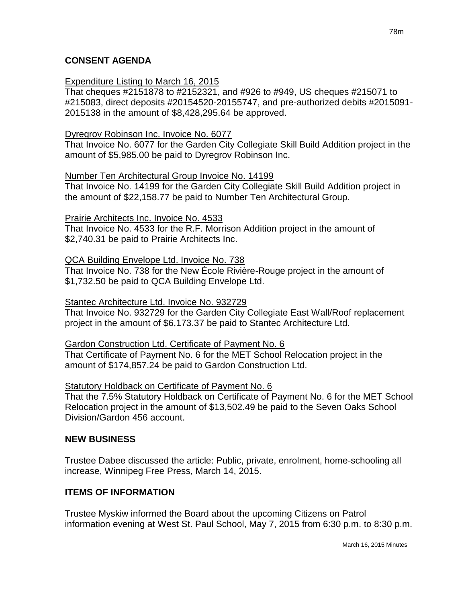## **CONSENT AGENDA**

## Expenditure Listing to March 16, 2015

That cheques #2151878 to #2152321, and #926 to #949, US cheques #215071 to #215083, direct deposits #20154520-20155747, and pre-authorized debits #2015091- 2015138 in the amount of \$8,428,295.64 be approved.

## Dyregrov Robinson Inc. Invoice No. 6077

That Invoice No. 6077 for the Garden City Collegiate Skill Build Addition project in the amount of \$5,985.00 be paid to Dyregrov Robinson Inc.

## Number Ten Architectural Group Invoice No. 14199

That Invoice No. 14199 for the Garden City Collegiate Skill Build Addition project in the amount of \$22,158.77 be paid to Number Ten Architectural Group.

### Prairie Architects Inc. Invoice No. 4533

That Invoice No. 4533 for the R.F. Morrison Addition project in the amount of \$2,740.31 be paid to Prairie Architects Inc.

## QCA Building Envelope Ltd. Invoice No. 738

That Invoice No. 738 for the New École Rivière-Rouge project in the amount of \$1,732.50 be paid to QCA Building Envelope Ltd.

## Stantec Architecture Ltd. Invoice No. 932729

That Invoice No. 932729 for the Garden City Collegiate East Wall/Roof replacement project in the amount of \$6,173.37 be paid to Stantec Architecture Ltd.

### Gardon Construction Ltd. Certificate of Payment No. 6

That Certificate of Payment No. 6 for the MET School Relocation project in the amount of \$174,857.24 be paid to Gardon Construction Ltd.

### Statutory Holdback on Certificate of Payment No. 6

That the 7.5% Statutory Holdback on Certificate of Payment No. 6 for the MET School Relocation project in the amount of \$13,502.49 be paid to the Seven Oaks School Division/Gardon 456 account.

### **NEW BUSINESS**

Trustee Dabee discussed the article: Public, private, enrolment, home-schooling all increase, Winnipeg Free Press, March 14, 2015.

## **ITEMS OF INFORMATION**

Trustee Myskiw informed the Board about the upcoming Citizens on Patrol information evening at West St. Paul School, May 7, 2015 from 6:30 p.m. to 8:30 p.m.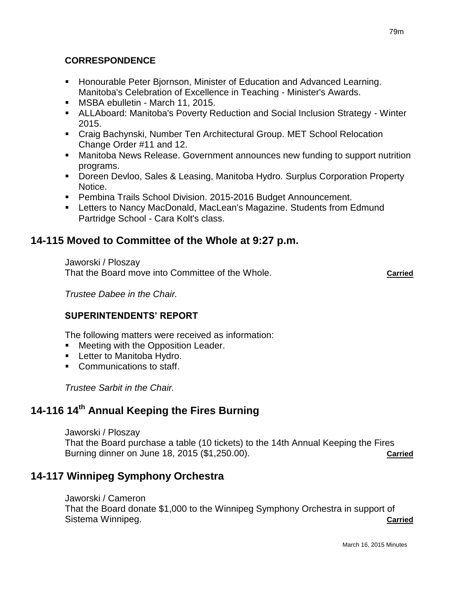## **CORRESPONDENCE**

- Honourable Peter Bjornson, Minister of Education and Advanced Learning. Manitoba's Celebration of Excellence in Teaching - Minister's Awards.
- **MSBA ebulletin March 11, 2015.**
- ALLAboard: Manitoba's Poverty Reduction and Social Inclusion Strategy Winter 2015.
- Craig Bachynski, Number Ten Architectural Group. MET School Relocation Change Order #11 and 12.
- Manitoba News Release. Government announces new funding to support nutrition programs.
- Doreen Devloo, Sales & Leasing, Manitoba Hydro. Surplus Corporation Property Notice.
- **Pembina Trails School Division. 2015-2016 Budget Announcement.**
- **EXTERN** Letters to Nancy MacDonald, MacLean's Magazine. Students from Edmund Partridge School - Cara Kolt's class.

# **14-115 Moved to Committee of the Whole at 9:27 p.m.**

Jaworski / Ploszay That the Board move into Committee of the Whole. **Carried**

*Trustee Dabee in the Chair.*

## **SUPERINTENDENTS' REPORT**

The following matters were received as information:

- **Meeting with the Opposition Leader.**
- **Letter to Manitoba Hydro.**
- Communications to staff.

*Trustee Sarbit in the Chair.*

# **14-116 14th Annual Keeping the Fires Burning**

Jaworski / Ploszay That the Board purchase a table (10 tickets) to the 14th Annual Keeping the Fires Burning dinner on June 18, 2015 (\$1,250.00). **Carried**

# **14-117 Winnipeg Symphony Orchestra**

Jaworski / Cameron

That the Board donate \$1,000 to the Winnipeg Symphony Orchestra in support of Sistema Winnipeg. **Carried**